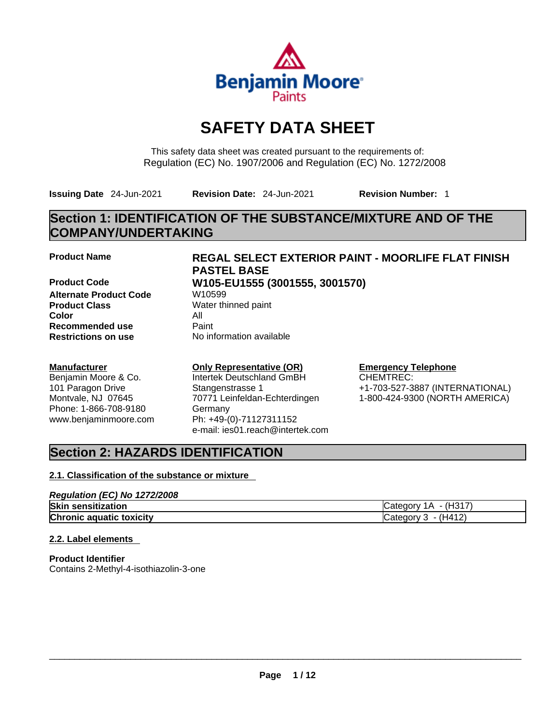

# **SAFETY DATA SHEET**

This safety data sheet was created pursuant to the requirements of: Regulation (EC) No. 1907/2006 and Regulation (EC) No. 1272/2008

**Issuing Date** 24-Jun-2021 **Revision Date:** 24-Jun-2021 **Revision Number:** 1

# **Section 1: IDENTIFICATION OF THE SUBSTANCE/MIXTURE AND OF THE COMPANY/UNDERTAKING**

**Product Code W105-EU1555 (3001555, 3001570) Alternate Product Code W10599 Product Class** Water thinned paint **Color** All **Recommended use** Paint<br> **Restrictions on use** Mo information available **Restrictions** on use

### **Manufacturer**

Benjamin Moore & Co. 101 Paragon Drive Montvale, NJ 07645 Phone: 1-866-708-9180 www.benjaminmoore.com

# **Product Name REGAL SELECT EXTERIOR PAINT - MOORLIFE FLAT FINISH PASTEL BASE**

# **Only Representative (OR)**

Intertek Deutschland GmBH Stangenstrasse 1 70771 Leinfeldan-Echterdingen Germany Ph: +49-(0)-71127311152 e-mail: ies01.reach@intertek.com

# **Emergency Telephone**

CHEMTREC: +1-703-527-3887 (INTERNATIONAL) 1-800-424-9300 (NORTH AMERICA)

# **Section 2: HAZARDS IDENTIFICATION**

## **2.1. Classification of the substance or mixture**

| Regulation (EC) No 1272/2008    |                       |
|---------------------------------|-----------------------|
| <b>Skin sensitization</b>       | (H317<br>Category 1A  |
| <b>Chronic aquatic toxicity</b> | (H412)<br>ICategory 3 |

### **2.2. Label elements**

**Product Identifier** Contains 2-Methyl-4-isothiazolin-3-one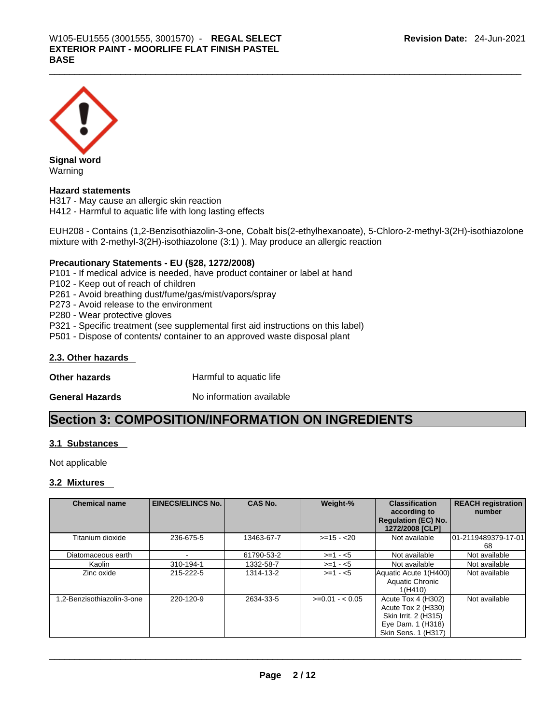

**Signal word** Warning

## **Hazard statements**

H317 - May cause an allergic skin reaction H412 - Harmful to aquatic life with long lasting effects

EUH208 - Contains (1,2-Benzisothiazolin-3-one, Cobalt bis(2-ethylhexanoate), 5-Chloro-2-methyl-3(2H)-isothiazolone mixture with 2-methyl-3(2H)-isothiazolone (3:1) ). May produce an allergic reaction

### **Precautionary Statements - EU (§28, 1272/2008)**

P101 - If medical advice is needed, have product container or label at hand

P102 - Keep out of reach of children

P261 - Avoid breathing dust/fume/gas/mist/vapors/spray

P273 - Avoid release to the environment

P280 - Wear protective gloves

P321 - Specific treatment (see supplemental first aid instructions on this label)

P501 - Dispose of contents/ container to an approved waste disposal plant

### **2.3. Other hazards**

**Other hazards Harmful to aquatic life** 

**General Hazards No information available** 

# **Section 3: COMPOSITION/INFORMATION ON INGREDIENTS**

### **3.1 Substances**

Not applicable

#### **3.2 Mixtures**

| <b>Chemical name</b>      | <b>EINECS/ELINCS No.</b> | <b>CAS No.</b> | Weight-%        | <b>REACH registration</b><br><b>Classification</b><br>according to                                           |                            |
|---------------------------|--------------------------|----------------|-----------------|--------------------------------------------------------------------------------------------------------------|----------------------------|
|                           |                          |                |                 | <b>Regulation (EC) No.</b><br>1272/2008 [CLP]                                                                | number                     |
| Titanium dioxide          | 236-675-5                | 13463-67-7     | $>=15 - 20$     | Not available                                                                                                | 101-2119489379-17-01<br>68 |
| Diatomaceous earth        |                          | 61790-53-2     | $>=1 - 5$       | Not available                                                                                                | Not available              |
| Kaolin                    | 310-194-1                | 1332-58-7      | $>=1 - 5$       | Not available                                                                                                | Not available              |
| Zinc oxide                | 215-222-5                | 1314-13-2      | $>= 1 - 5$      | Aquatic Acute 1(H400)<br>Aquatic Chronic<br>1(H410)                                                          | Not available              |
| .2-Benzisothiazolin-3-one | 220-120-9                | 2634-33-5      | $>=0.01 - 0.05$ | Acute Tox 4 (H302)<br>Acute Tox 2 (H330)<br>Skin Irrit. 2 (H315)<br>Eye Dam. 1 (H318)<br>Skin Sens. 1 (H317) | Not available              |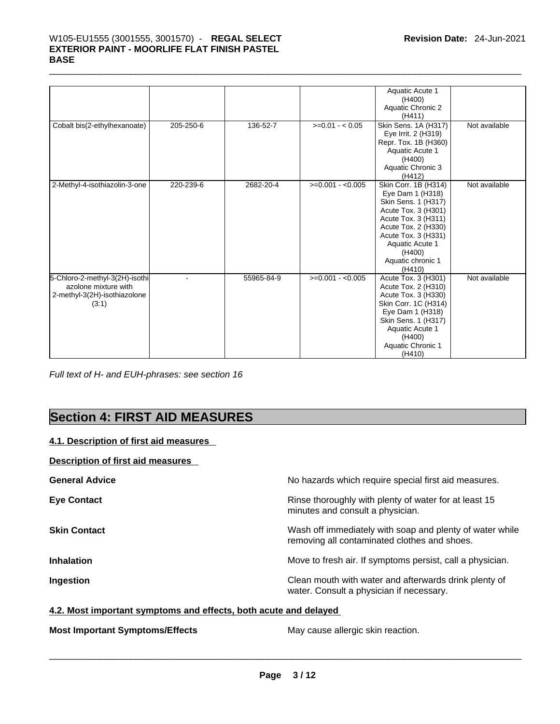# \_\_\_\_\_\_\_\_\_\_\_\_\_\_\_\_\_\_\_\_\_\_\_\_\_\_\_\_\_\_\_\_\_\_\_\_\_\_\_\_\_\_\_\_\_\_\_\_\_\_\_\_\_\_\_\_\_\_\_\_\_\_\_\_\_\_\_\_\_\_\_\_\_\_\_\_\_\_\_\_\_\_\_\_\_\_\_\_\_\_\_\_\_ W105-EU1555 (3001555, 3001570) - **REGAL SELECT EXTERIOR PAINT - MOORLIFE FLAT FINISH PASTEL BASE**

|                                                                                                 |           |            |                   | Aquatic Acute 1<br>(H400)<br>Aquatic Chronic 2<br>(H411)                                                                                                                                                                |               |
|-------------------------------------------------------------------------------------------------|-----------|------------|-------------------|-------------------------------------------------------------------------------------------------------------------------------------------------------------------------------------------------------------------------|---------------|
| Cobalt bis(2-ethylhexanoate)                                                                    | 205-250-6 | 136-52-7   | $>=0.01 - 0.05$   | Skin Sens. 1A (H317)<br>Eye Irrit. 2 (H319)<br>Repr. Tox. 1B (H360)<br>Aquatic Acute 1<br>(H400)<br>Aquatic Chronic 3<br>(H412)                                                                                         | Not available |
| 2-Methyl-4-isothiazolin-3-one                                                                   | 220-239-6 | 2682-20-4  | $>=0.001 - 0.005$ | Skin Corr. 1B (H314)<br>Eye Dam 1 (H318)<br>Skin Sens. 1 (H317)<br>Acute Tox. 3 (H301)<br>Acute Tox. 3 (H311)<br>Acute Tox. 2 (H330)<br>Acute Tox. 3 (H331)<br>Aquatic Acute 1<br>(H400)<br>Aquatic chronic 1<br>(H410) | Not available |
| 5-Chloro-2-methyl-3(2H)-isothi<br>azolone mixture with<br>2-methyl-3(2H)-isothiazolone<br>(3:1) |           | 55965-84-9 | $>=0.001 - 0.005$ | Acute Tox. 3 (H301)<br>Acute Tox. 2 (H310)<br>Acute Tox. 3 (H330)<br>Skin Corr. 1C (H314)<br>Eye Dam 1 (H318)<br>Skin Sens. 1 (H317)<br>Aquatic Acute 1<br>(H400)<br>Aquatic Chronic 1<br>(H410)                        | Not available |

*Full text of H- and EUH-phrases: see section 16* 

# **Section 4: FIRST AID MEASURES**

### **4.1. Description of first aid measures**

### **Description of first aid measures**

| <b>General Advice</b> | No hazards which require special first aid measures.                                                     |
|-----------------------|----------------------------------------------------------------------------------------------------------|
| <b>Eye Contact</b>    | Rinse thoroughly with plenty of water for at least 15<br>minutes and consult a physician.                |
| <b>Skin Contact</b>   | Wash off immediately with soap and plenty of water while<br>removing all contaminated clothes and shoes. |
| <b>Inhalation</b>     | Move to fresh air. If symptoms persist, call a physician.                                                |
| Ingestion             | Clean mouth with water and afterwards drink plenty of<br>water. Consult a physician if necessary.        |

## **4.2. Most important symptoms and effects, both acute and delayed**

**Most Important Symptoms/Effects** May cause allergic skin reaction. \_\_\_\_\_\_\_\_\_\_\_\_\_\_\_\_\_\_\_\_\_\_\_\_\_\_\_\_\_\_\_\_\_\_\_\_\_\_\_\_\_\_\_\_\_\_\_\_\_\_\_\_\_\_\_\_\_\_\_\_\_\_\_\_\_\_\_\_\_\_\_\_\_\_\_\_\_\_\_\_\_\_\_\_\_\_\_\_\_\_\_\_\_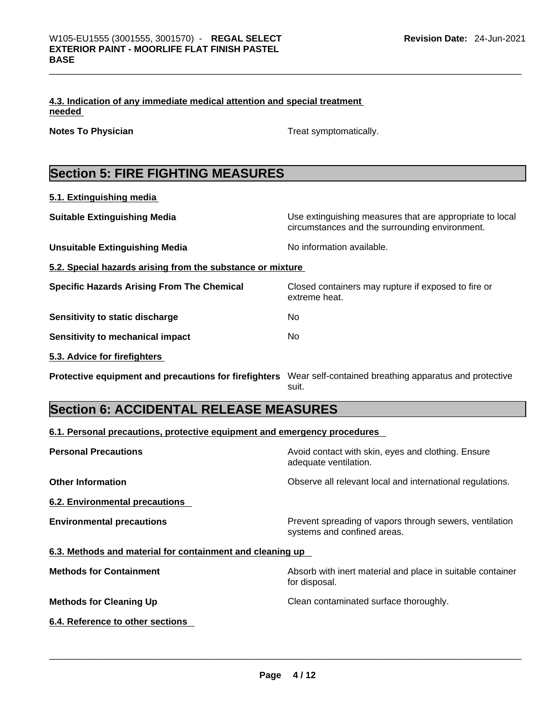|        | 4.3. Indication of any immediate medical attention and special treatment |  |
|--------|--------------------------------------------------------------------------|--|
| needed |                                                                          |  |

**Notes To Physician Treat symptomatically.** 

# **Section 5: FIRE FIGHTING MEASURES**

| 5.1. Extinguishing media                                   |                                                                                                            |
|------------------------------------------------------------|------------------------------------------------------------------------------------------------------------|
| <b>Suitable Extinguishing Media</b>                        | Use extinguishing measures that are appropriate to local<br>circumstances and the surrounding environment. |
| <b>Unsuitable Extinguishing Media</b>                      | No information available.                                                                                  |
| 5.2. Special hazards arising from the substance or mixture |                                                                                                            |
| <b>Specific Hazards Arising From The Chemical</b>          | Closed containers may rupture if exposed to fire or<br>extreme heat.                                       |
| Sensitivity to static discharge                            | No                                                                                                         |
| Sensitivity to mechanical impact                           | No.                                                                                                        |
| 5.3. Advice for firefighters                               |                                                                                                            |
| Protective equipment and precautions for firefighters      | Wear self-contained breathing apparatus and protective<br>suit.                                            |

# **Section 6: ACCIDENTAL RELEASE MEASURES**

## **6.1. Personal precautions, protective equipment and emergency procedures**

| <b>Personal Precautions</b>                               | Avoid contact with skin, eyes and clothing. Ensure<br>adequate ventilation.            |
|-----------------------------------------------------------|----------------------------------------------------------------------------------------|
| <b>Other Information</b>                                  | Observe all relevant local and international regulations.                              |
| 6.2. Environmental precautions                            |                                                                                        |
| <b>Environmental precautions</b>                          | Prevent spreading of vapors through sewers, ventilation<br>systems and confined areas. |
| 6.3. Methods and material for containment and cleaning up |                                                                                        |
| <b>Methods for Containment</b>                            | Absorb with inert material and place in suitable container<br>for disposal.            |
| <b>Methods for Cleaning Up</b>                            | Clean contaminated surface thoroughly.                                                 |
| 6.4. Reference to other sections                          |                                                                                        |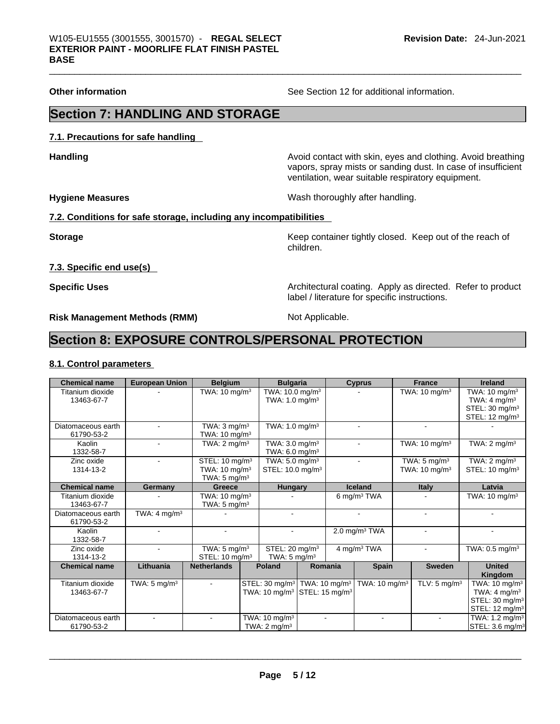**Other information** See Section 12 for additional information.

# **Section 7: HANDLING AND STORAGE**

**7.1. Precautions for safe handling** 

**Handling Handling Avoid contact with skin, eyes and clothing. Avoid breathing** vapors, spray mists or sanding dust. In case of insufficient ventilation, wear suitable respiratory equipment.

**Hygiene Measures** Wash thoroughly after handling.

### **7.2. Conditions for safe storage, including any incompatibilities**

**Storage Keep container tightly closed. Keep out of the reach of the reach of the reach of the reach of the reach of the reach of the reach of the reach of the reach of the reach of the reach of the reach of the reach of** children.

**7.3. Specific end use(s)** 

**Specific Uses <b>Specific Uses Architectural coating. Apply as directed. Refer to product Specific Uses** label / literature for specific instructions.

**Risk Management Methods (RMM)** Not Applicable.

# **Section 8: EXPOSURE CONTROLS/PERSONAL PROTECTION**

### **8.1. Control parameters**

| <b>Chemical name</b>             | <b>European Union</b>   | <b>Belgium</b>                                                                    | <b>Bulgaria</b>                                                                                              |         | <b>Cyprus</b>             | <b>France</b>                                       | <b>Ireland</b>                                                                                                  |
|----------------------------------|-------------------------|-----------------------------------------------------------------------------------|--------------------------------------------------------------------------------------------------------------|---------|---------------------------|-----------------------------------------------------|-----------------------------------------------------------------------------------------------------------------|
| Titanium dioxide<br>13463-67-7   |                         | TWA: $10 \text{ mg/m}^3$                                                          | TWA: 10.0 mg/m <sup>3</sup><br>TWA: $1.0 \text{ mg/m}^3$                                                     |         |                           | TWA: $10 \text{ mg/m}^3$                            | TWA: $10 \text{ mg/m}^3$<br>TWA: $4 \text{ mg/m}^3$                                                             |
|                                  |                         |                                                                                   |                                                                                                              |         |                           |                                                     | STEL: 30 mg/m <sup>3</sup><br>STEL: 12 mg/m <sup>3</sup>                                                        |
| Diatomaceous earth<br>61790-53-2 |                         | TWA: $3 \text{ mg/m}^3$<br>TWA: 10 mg/m <sup>3</sup>                              | TWA: $1.0$ mg/m <sup>3</sup>                                                                                 |         | ۰                         | ۰                                                   |                                                                                                                 |
| Kaolin<br>1332-58-7              |                         | TWA: $2 \text{ mq/m}^3$                                                           | TWA: $3.0 \text{ mg/m}^3$<br>TWA: 6.0 mg/m <sup>3</sup>                                                      |         |                           | TWA: $10 \text{ mg/m}^3$                            | TWA: $2 \text{ mg/m}^3$                                                                                         |
| Zinc oxide<br>1314-13-2          |                         | STEL: 10 mg/m <sup>3</sup><br>TWA: $10 \text{ mg/m}^3$<br>TWA: $5 \text{ mg/m}^3$ | TWA: $5.0$ mg/m <sup>3</sup><br>STEL: 10.0 mg/m <sup>3</sup>                                                 |         | ٠                         | TWA: $5 \text{ mg/m}^3$<br>TWA: $10 \text{ mg/m}^3$ | TWA: $2 \text{ mg/m}^3$<br>STEL: $10 \text{ mg/m}^3$                                                            |
| <b>Chemical name</b>             | Germany                 | Greece                                                                            | <b>Hungary</b>                                                                                               |         | Iceland                   | <b>Italy</b>                                        | Latvia                                                                                                          |
| Titanium dioxide<br>13463-67-7   |                         | TWA: $10 \text{ mg/m}^3$<br>TWA: $5 \text{ mg/m}^3$                               |                                                                                                              |         | 6 mg/m $3$ TWA            |                                                     | TWA: $10 \text{ mg/m}^3$                                                                                        |
| Diatomaceous earth<br>61790-53-2 | TWA: $4 \text{ mg/m}^3$ |                                                                                   | $\blacksquare$                                                                                               |         | ۰                         |                                                     |                                                                                                                 |
| Kaolin<br>1332-58-7              |                         |                                                                                   |                                                                                                              |         | 2.0 mg/m <sup>3</sup> TWA |                                                     |                                                                                                                 |
| Zinc oxide<br>1314-13-2          |                         | TWA: $5 \text{ mg/m}^3$<br>STEL: $10 \text{ mg/m}^3$                              | STEL: 20 mg/m <sup>3</sup><br>TWA: $5 \text{ mg/m}^3$                                                        |         | 4 mg/m <sup>3</sup> TWA   |                                                     | TWA: $0.5$ mg/m <sup>3</sup>                                                                                    |
| <b>Chemical name</b>             | Lithuania               | <b>Netherlands</b>                                                                | Poland                                                                                                       | Romania | <b>Spain</b>              | <b>Sweden</b>                                       | <b>United</b><br>Kingdom                                                                                        |
| Titanium dioxide<br>13463-67-7   | TWA: $5 \text{ mg/m}^3$ |                                                                                   | STEL: 30 mg/m <sup>3</sup>   TWA: 10 mg/m <sup>3</sup><br>TWA: $10 \text{ mg/m}^3$ STEL: $15 \text{ mg/m}^3$ |         | TWA: $10 \text{ mg/m}^3$  | TLV: 5 mg/m <sup>3</sup>                            | TWA: $10 \text{ mg/m}^3$<br>TWA: $4 \text{ mg/m}^3$<br>STEL: 30 mg/m <sup>3</sup><br>STEL: 12 mg/m <sup>3</sup> |
| Diatomaceous earth<br>61790-53-2 |                         |                                                                                   | TWA: 10 mg/m <sup>3</sup><br>TWA: $2 \text{ mq/m}^3$                                                         |         |                           |                                                     | TWA: $1.2 \text{ mg/m}^3$<br>STEL: 3.6 mg/m <sup>3</sup>                                                        |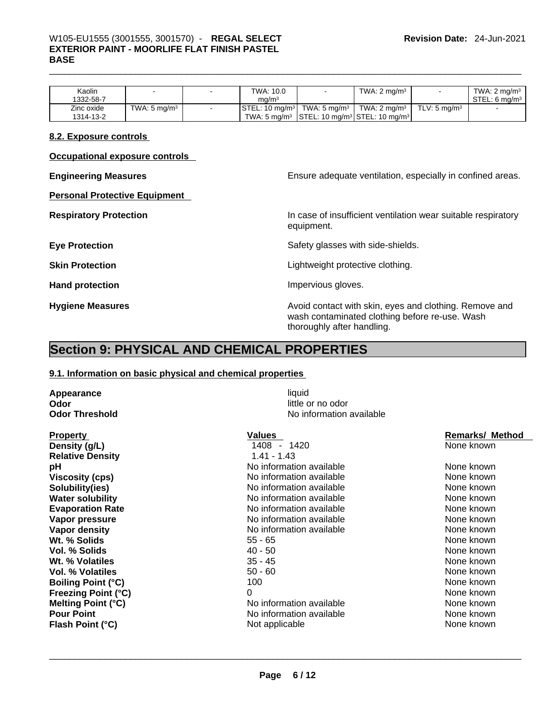# \_\_\_\_\_\_\_\_\_\_\_\_\_\_\_\_\_\_\_\_\_\_\_\_\_\_\_\_\_\_\_\_\_\_\_\_\_\_\_\_\_\_\_\_\_\_\_\_\_\_\_\_\_\_\_\_\_\_\_\_\_\_\_\_\_\_\_\_\_\_\_\_\_\_\_\_\_\_\_\_\_\_\_\_\_\_\_\_\_\_\_\_\_ W105-EU1555 (3001555, 3001570) - **REGAL SELECT EXTERIOR PAINT - MOORLIFE FLAT FINISH PASTEL BASE**

| $\textsf{STEL}: 10 \text{ mg/m}^3$ TWA: 5 mg/m <sup>3</sup><br>TWA: 2 ma/m $3 \mid$<br>TWA: 5 $ma/m3$<br>Zinc oxide<br>. TLV: 5 ma/m $^3\,$ | Kaolin<br>1332-58-7 |  | TWA: 10.0<br>ma/m <sup>3</sup> | TWA: $2 \text{ ma/m}^3$ | TWA: $2 \text{ ma/m}^3$<br>STEL: 6 ma/m <sup>3</sup> |
|---------------------------------------------------------------------------------------------------------------------------------------------|---------------------|--|--------------------------------|-------------------------|------------------------------------------------------|
| TWA: 5 mg/m <sup>3</sup> STEL: 10 mg/m <sup>3</sup> STEL: 10 mg/m <sup>3</sup><br>1314-13-2                                                 |                     |  |                                |                         |                                                      |

#### **8.2. Exposure controls**

**Occupational exposure controls** 

**Personal Protective Equipment** 

**Engineering Measures Ensure** Ensure adequate ventilation, especially in confined areas.

**Respiratory Protection In case of insufficient ventilation wear suitable respiratory** equipment.

**Eye Protection <b>Exercise Safety glasses** with side-shields.

**Skin Protection Skin Protection Lightweight protective clothing.** 

**Hand protection Impervious gloves.** 

**Hygiene Measures Avoid contact with skin, eyes and clothing. Remove and Avoid contact with skin, eyes and clothing. Remove and** wash contaminated clothing before re-use. Wash thoroughly after handling.

# **Section 9: PHYSICAL AND CHEMICAL PROPERTIES**

#### **9.1. Information on basic physical and chemical properties**

**Appearance** liquid **Odor** little or no odor

Property **Property Values Values Values Remarks/ Method Remarks/ Method Remarks/ Method Remarks/ Method Density (g/L)** 1408 - 1420 None known **Relative Density** 1.41 - 1.43 **pH** No information available None known **Viscosity (cps) No** information available **Solubility(ies)** Noinformation available None known None known **Water solubility 19th Contract Act Act Act None Known None Known None Known None Known None known None known None known None known None known None known None known None Known None Known None Known None Known None Known No Evaporation Rate No information available** None known No information available **Vapor pressure Notifiable Note 2012** Note 10 None known None known None known **Vapor density** No information available None known Wt. % Solids **Vol. % Solids** 40 - 50 None known **Wt. % Volatiles** 35 - 45 None known **Vol. % Volatiles** 50 - 60 None known **Boiling Point (°C)** 100 100 None known **Freezing Point (°C)** 0 None known **Melting Point (°C) Pour Point Pour Point No information available None known**<br> **Pour Point (°C) None known**<br>
None known **None known Flash Point (°C)** Not applicable None known \_\_\_\_\_\_\_\_\_\_\_\_\_\_\_\_\_\_\_\_\_\_\_\_\_\_\_\_\_\_\_\_\_\_\_\_\_\_\_\_\_\_\_\_\_\_\_\_\_\_\_\_\_\_\_\_\_\_\_\_\_\_\_\_\_\_\_\_\_\_\_\_\_\_\_\_\_\_\_\_\_\_\_\_\_\_\_\_\_\_\_\_\_

**No information available**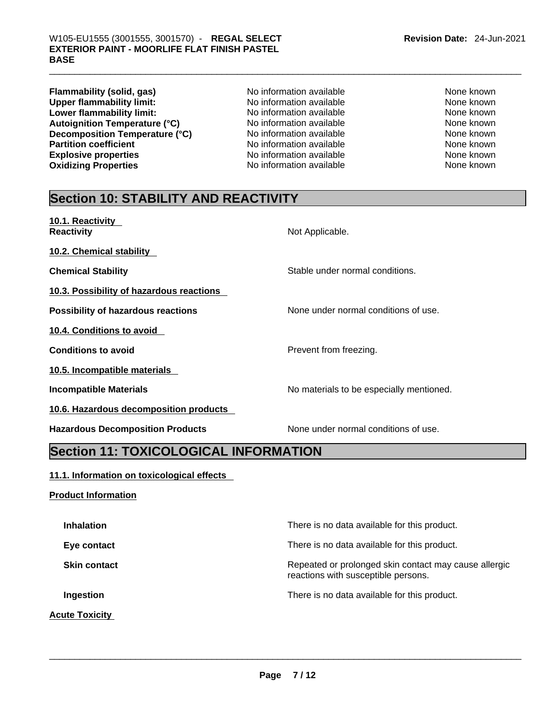**Flammability (solid, gas)** No information available None Known<br>
None **the Conduct Conduct And Alteria None Known**<br>
None known
None known
None known
None Known
None Known
None Known
None Known
None Known
None Known
None Kn **Upper flammability limit:** No information available None Known<br> **Lower flammability limit:** No information available None Known None known **Lower flammability limit:** No information available None known None known **Autoignition Temperature (°C)** No information available None known **Decomposition Temperature (°C)**<br>
No information available None Known<br>
No information available None Known<br>
None known **Explosive properties**<br> **Oxidizing Properties** None Known<br>
No information available None Known<br>
None known **Oxidizing Properties** 

**Partition Partition Cone information** available None known

# **Section 10: STABILITY AND REACTIVITY**

| 10.1. Reactivity<br><b>Reactivity</b>     | Not Applicable.                          |
|-------------------------------------------|------------------------------------------|
| 10.2. Chemical stability                  |                                          |
| <b>Chemical Stability</b>                 | Stable under normal conditions.          |
| 10.3. Possibility of hazardous reactions  |                                          |
| <b>Possibility of hazardous reactions</b> | None under normal conditions of use.     |
| 10.4. Conditions to avoid                 |                                          |
| <b>Conditions to avoid</b>                | Prevent from freezing.                   |
| 10.5. Incompatible materials              |                                          |
| <b>Incompatible Materials</b>             | No materials to be especially mentioned. |
| 10.6. Hazardous decomposition products    |                                          |
| <b>Hazardous Decomposition Products</b>   | None under normal conditions of use.     |

# **Section 11: TOXICOLOGICAL INFORMATION**

## **11.1. Information on toxicological effects**

## **Product Information**

| There is no data available for this product.                                                 |
|----------------------------------------------------------------------------------------------|
| There is no data available for this product.                                                 |
| Repeated or prolonged skin contact may cause allergic<br>reactions with susceptible persons. |
| There is no data available for this product.                                                 |
|                                                                                              |
|                                                                                              |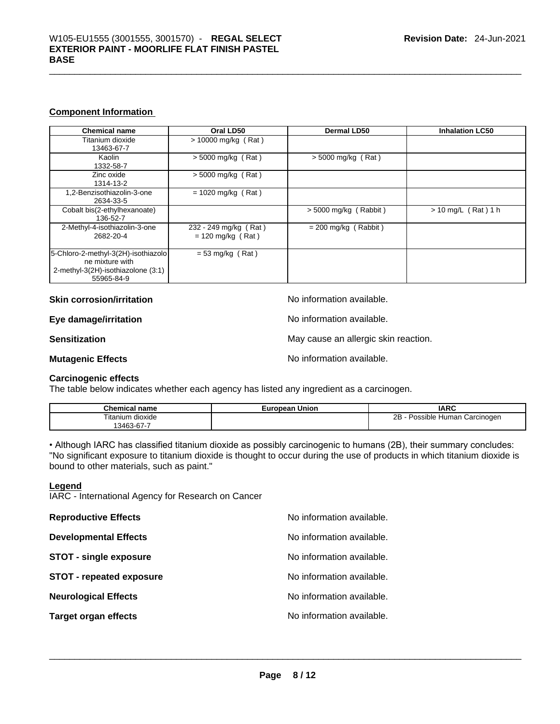### **Component Information**

| <b>Chemical name</b>                                                                                       | Oral LD50                                    | <b>Dermal LD50</b>      | <b>Inhalation LC50</b> |
|------------------------------------------------------------------------------------------------------------|----------------------------------------------|-------------------------|------------------------|
| Titanium dioxide<br>13463-67-7                                                                             | $> 10000$ mg/kg (Rat)                        |                         |                        |
| Kaolin<br>1332-58-7                                                                                        | $>$ 5000 mg/kg (Rat)                         | $>$ 5000 mg/kg (Rat)    |                        |
| Zinc oxide<br>1314-13-2                                                                                    | $>$ 5000 mg/kg (Rat)                         |                         |                        |
| 1,2-Benzisothiazolin-3-one<br>2634-33-5                                                                    | $= 1020$ mg/kg (Rat)                         |                         |                        |
| Cobalt bis(2-ethylhexanoate)<br>136-52-7                                                                   |                                              | $> 5000$ mg/kg (Rabbit) | $> 10$ mg/L (Rat) 1 h  |
| 2-Methyl-4-isothiazolin-3-one<br>2682-20-4                                                                 | 232 - 249 mg/kg (Rat)<br>$= 120$ mg/kg (Rat) | $= 200$ mg/kg (Rabbit)  |                        |
| 5-Chloro-2-methyl-3(2H)-isothiazolo<br>ne mixture with<br>2-methyl-3(2H)-isothiazolone (3:1)<br>55965-84-9 | $= 53$ mg/kg (Rat)                           |                         |                        |

**Skin corrosion/irritation No information available.** 

**Eye damage/irritation Eye damage/irritation No information available.** 

**Sensitization Sensitization May cause an allergic skin reaction.** 

**Mutagenic Effects No information available.** 

#### **Carcinogenic effects**

The table below indicates whether each agency has listed any ingredient as a carcinogen.

| <b>Chemical</b><br>name           | European Union | <b>IARC</b>                           |
|-----------------------------------|----------------|---------------------------------------|
| Titanium,<br>dioxide<br>3463-67-7 |                | 2B<br>Possible Human C<br>⊦Carcinoɑen |

• Although IARC has classified titanium dioxide as possibly carcinogenic to humans (2B), their summary concludes: "No significant exposure to titanium dioxide is thought to occur during the use of products in which titanium dioxide is bound to other materials, such as paint."

#### **Legend**

IARC - International Agency for Research on Cancer

| <b>Reproductive Effects</b>     | No information available. |
|---------------------------------|---------------------------|
| <b>Developmental Effects</b>    | No information available. |
| <b>STOT - single exposure</b>   | No information available. |
| <b>STOT - repeated exposure</b> | No information available. |
| <b>Neurological Effects</b>     | No information available. |
| <b>Target organ effects</b>     | No information available. |
|                                 |                           |
|                                 |                           |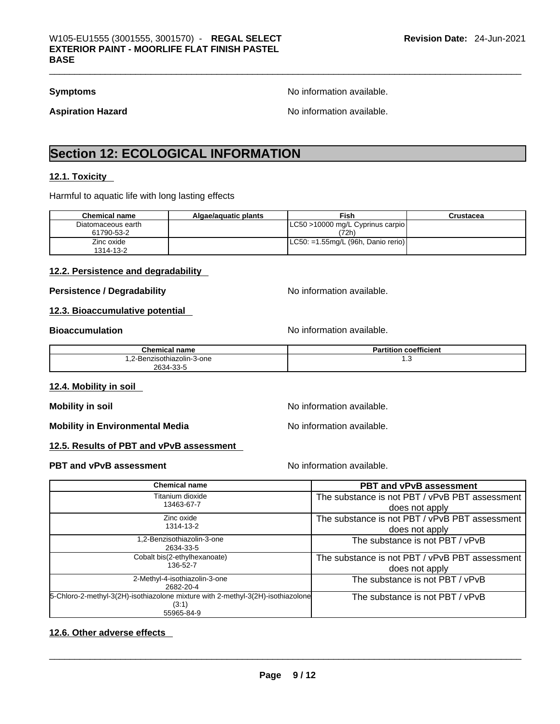**Symptoms Symptoms No information available.** 

Aspiration Hazard **Aspiration Hazard No information available.** 

# **Section 12: ECOLOGICAL INFORMATION**

#### **12.1. Toxicity**

Harmful to aquatic life with long lasting effects

| <b>Chemical name</b> | Algae/aguatic plants | Fish                                   | Crustacea |
|----------------------|----------------------|----------------------------------------|-----------|
| Diatomaceous earth   |                      | LC50 >10000 mg/L Cyprinus carpio       |           |
| 61790-53-2           |                      | (72h)                                  |           |
| Zinc oxide           |                      | $ $ LC50: =1.55mg/L (96h, Danio rerio) |           |
| 1314-13-2            |                      |                                        |           |

### **12.2. Persistence and degradability**

**Persistence / Degradability No information available.** 

#### **12.3. Bioaccumulative potential**

**Bioaccumulation Bioaccumulation Bioaccumulation** 

| <b>Chemical name</b>                                  | <b>coefficient</b><br>Partition |
|-------------------------------------------------------|---------------------------------|
| .2-Benzisothiazolin-3-one<br>$\overline{\phantom{a}}$ | ں.،                             |
| 2634-33-5                                             |                                 |

### **12.4. Mobility in soil**

**Mobility in soil Mobility in soil Mobility in soil** 

**Mobility in Environmental Media** Noinformation available.

### **12.5. Results of PBT and vPvB assessment**

#### **PBT** and **vPvB** assessment **No information available.**

| <b>Chemical name</b>                                                                     | <b>PBT and vPvB assessment</b>                 |
|------------------------------------------------------------------------------------------|------------------------------------------------|
| Titanium dioxide                                                                         | The substance is not PBT / vPvB PBT assessment |
| 13463-67-7                                                                               | does not apply                                 |
| Zinc oxide                                                                               | The substance is not PBT / vPvB PBT assessment |
| 1314-13-2                                                                                | does not apply                                 |
| ,2-Benzisothiazolin-3-one<br>2634-33-5                                                   | The substance is not PBT / vPvB                |
| Cobalt bis(2-ethylhexanoate)                                                             | The substance is not PBT / vPvB PBT assessment |
| 136-52-7                                                                                 | does not apply                                 |
| 2-Methyl-4-isothiazolin-3-one<br>2682-20-4                                               | The substance is not PBT / vPvB                |
| 5-Chloro-2-methyl-3(2H)-isothiazolone mixture with 2-methyl-3(2H)-isothiazolone<br>(3:1) | The substance is not PBT / vPvB                |
| 55965-84-9                                                                               |                                                |

#### **12.6. Other adverse effects**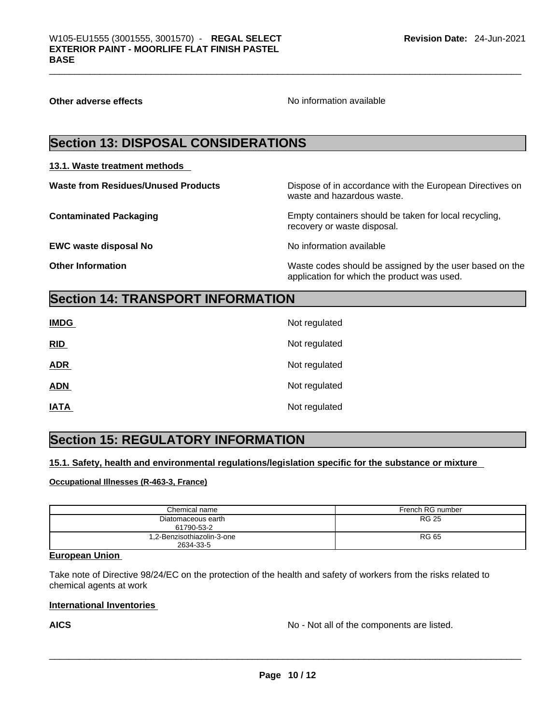**Other adverse effects No information available Other adverse effects No information available** 

# **Section 13: DISPOSAL CONSIDERATIONS**

### **13.1. Waste treatment methods**

**EWC waste disposal No No information available** 

**Waste from Residues/Unused Products** Dispose of in accordance with the European Directives on waste and hazardous waste.

**Contaminated Packaging** Empty containers should be taken for local recycling, recovery or waste disposal.

**Other Information** Waste codes should be assigned by the user based on the application for which the product was used.

# **Section 14: TRANSPORT INFORMATION**

| <b>IMDG</b> | Not regulated |
|-------------|---------------|
| RID         | Not regulated |
| <b>ADR</b>  | Not regulated |
| <b>ADN</b>  | Not regulated |
| <b>IATA</b> | Not regulated |

# **Section 15: REGULATORY INFORMATION**

**15.1. Safety, health and environmental regulations/legislation specific for the substance or mixture**

**Occupational Illnesses (R-463-3, France)**

| Chemical name                           | French RG number |
|-----------------------------------------|------------------|
| Diatomaceous earth<br>61790-53-2        | <b>RG 25</b>     |
| 1,2-Benzisothiazolin-3-one<br>2634-33-5 | RG 65            |

## **European Union**

Take note of Directive 98/24/EC on the protection of the health and safety of workers from the risks related to chemical agents at work

#### **International Inventories**

**AICS** No - Not all of the components are listed.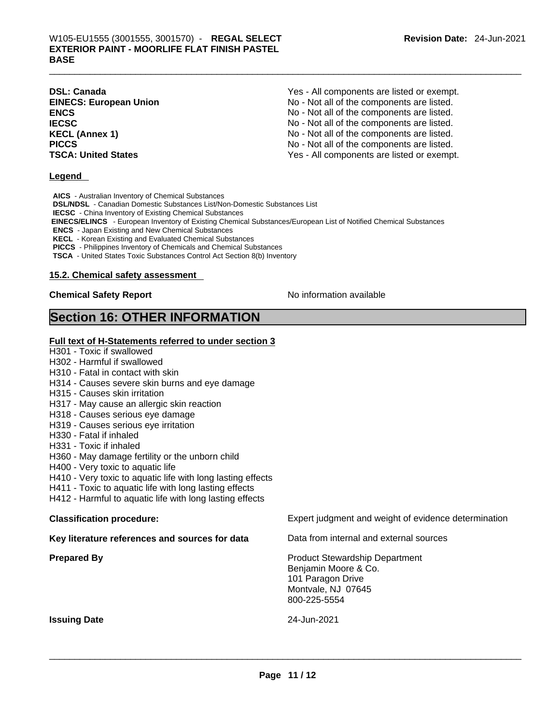| <b>DSL: Canada</b>            | Yes - All components are listed or exempt. |
|-------------------------------|--------------------------------------------|
| <b>EINECS: European Union</b> | No - Not all of the components are listed. |
| ENCS                          | No - Not all of the components are listed. |
| <b>IECSC</b>                  | No - Not all of the components are listed. |
| <b>KECL (Annex 1)</b>         | No - Not all of the components are listed. |
| PICCS                         | No - Not all of the components are listed. |
| <b>TSCA: United States</b>    | Yes - All components are listed or exempt. |
|                               |                                            |

#### **Legend**

**AICS** - Australian Inventory of Chemical Substances

**DSL/NDSL** - Canadian Domestic Substances List/Non-Domestic Substances List

**IECSC** - China Inventory of Existing Chemical Substances

 **EINECS/ELINCS** - European Inventory of Existing Chemical Substances/European List of Notified Chemical Substances

**ENCS** - Japan Existing and New Chemical Substances

**KECL** - Korean Existing and Evaluated Chemical Substances

**PICCS** - Philippines Inventory of Chemicals and Chemical Substances

**TSCA** - United States Toxic Substances Control Act Section 8(b) Inventory

#### **15.2. Chemical safety assessment**

#### **Chemical Safety Report Chemical Safety Report No information available**

## **Section 16: OTHER INFORMATION**

#### **Full text of H-Statements referred to under section 3**

- H301 Toxic if swallowed
- H302 Harmful if swallowed
- H310 Fatal in contact with skin
- H314 Causes severe skin burns and eye damage
- H315 Causes skin irritation
- H317 May cause an allergic skin reaction
- H318 Causes serious eye damage
- H319 Causes serious eye irritation
- H330 Fatal if inhaled
- H331 Toxic if inhaled
- H360 May damage fertility or the unborn child
- H400 Very toxic to aquatic life
- H410 Very toxic to aquatic life with long lasting effects
- H411 Toxic to aquatic life with long lasting effects
- H412 Harmful to aquatic life with long lasting effects

|  | <b>Classification procedure:</b> |  |
|--|----------------------------------|--|
|--|----------------------------------|--|

**Key literature references and sources for data** Data from internal and external sources

Expert judgment and weight of evidence determination

**Prepared By Product Stewardship Department** Benjamin Moore & Co. 101 Paragon Drive Montvale, NJ 07645 800-225-5554

**Issuing Date** 24-Jun-2021 \_\_\_\_\_\_\_\_\_\_\_\_\_\_\_\_\_\_\_\_\_\_\_\_\_\_\_\_\_\_\_\_\_\_\_\_\_\_\_\_\_\_\_\_\_\_\_\_\_\_\_\_\_\_\_\_\_\_\_\_\_\_\_\_\_\_\_\_\_\_\_\_\_\_\_\_\_\_\_\_\_\_\_\_\_\_\_\_\_\_\_\_\_